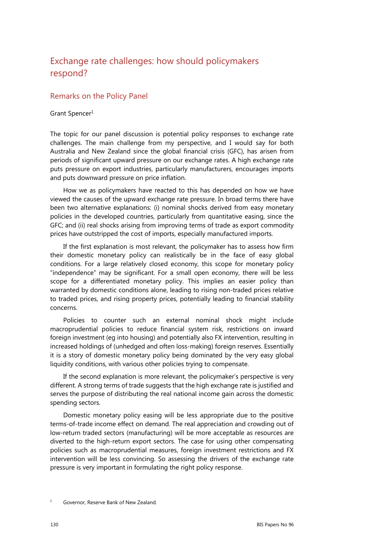## Exchange rate challenges: how should policymakers respond?

## Remarks on the Policy Panel

## Grant Spencer<sup>1</sup>

The topic for our panel discussion is potential policy responses to exchange rate challenges. The main challenge from my perspective, and I would say for both Australia and New Zealand since the global financial crisis (GFC), has arisen from periods of significant upward pressure on our exchange rates. A high exchange rate puts pressure on export industries, particularly manufacturers, encourages imports and puts downward pressure on price inflation.

How we as policymakers have reacted to this has depended on how we have viewed the causes of the upward exchange rate pressure. In broad terms there have been two alternative explanations: (i) nominal shocks derived from easy monetary policies in the developed countries, particularly from quantitative easing, since the GFC; and (ii) real shocks arising from improving terms of trade as export commodity prices have outstripped the cost of imports, especially manufactured imports.

If the first explanation is most relevant, the policymaker has to assess how firm their domestic monetary policy can realistically be in the face of easy global conditions. For a large relatively closed economy, this scope for monetary policy "independence" may be significant. For a small open economy, there will be less scope for a differentiated monetary policy. This implies an easier policy than warranted by domestic conditions alone, leading to rising non-traded prices relative to traded prices, and rising property prices, potentially leading to financial stability concerns.

Policies to counter such an external nominal shock might include macroprudential policies to reduce financial system risk, restrictions on inward foreign investment (eg into housing) and potentially also FX intervention, resulting in increased holdings of (unhedged and often loss-making) foreign reserves. Essentially it is a story of domestic monetary policy being dominated by the very easy global liquidity conditions, with various other policies trying to compensate.

If the second explanation is more relevant, the policymaker's perspective is very different. A strong terms of trade suggests that the high exchange rate is justified and serves the purpose of distributing the real national income gain across the domestic spending sectors.

Domestic monetary policy easing will be less appropriate due to the positive terms-of-trade income effect on demand. The real appreciation and crowding out of low-return traded sectors (manufacturing) will be more acceptable as resources are diverted to the high-return export sectors. The case for using other compensating policies such as macroprudential measures, foreign investment restrictions and FX intervention will be less convincing. So assessing the drivers of the exchange rate pressure is very important in formulating the right policy response.

<sup>1</sup> Governor, Reserve Bank of New Zealand.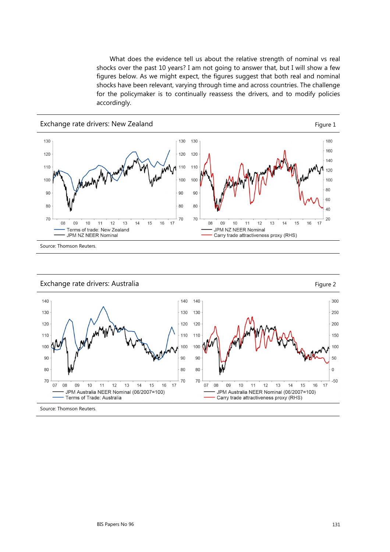What does the evidence tell us about the relative strength of nominal vs real shocks over the past 10 years? I am not going to answer that, but I will show a few figures below. As we might expect, the figures suggest that both real and nominal shocks have been relevant, varying through time and across countries. The challenge for the policymaker is to continually reassess the drivers, and to modify policies accordingly.